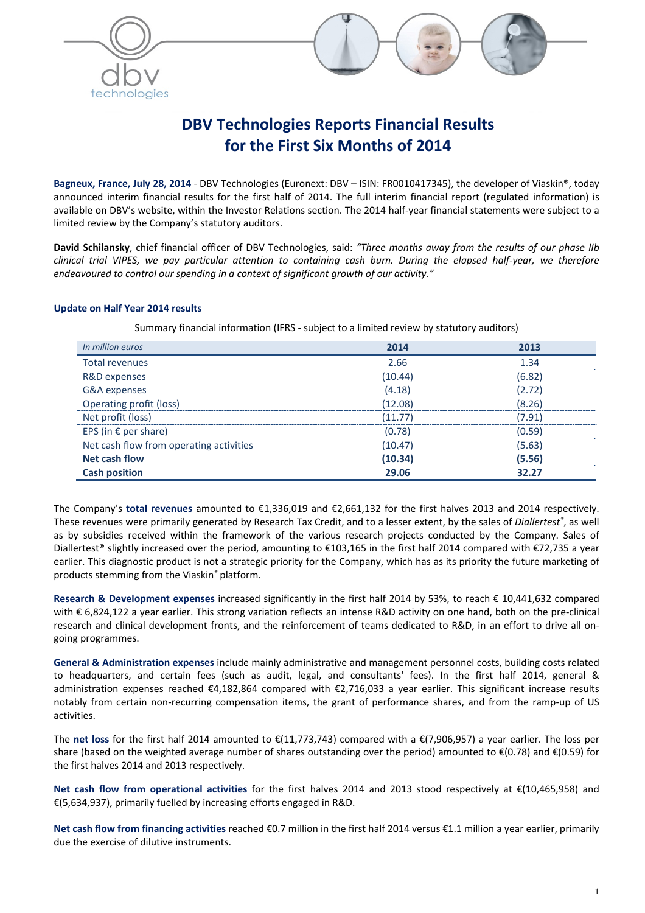



# **DBV Technologies Reports Financial Results for the First Six Months of 2014**

**Bagneux, France, July 28, 2014** ‐ DBV Technologies (Euronext: DBV – ISIN: FR0010417345), the developer of Viaskin®, today announced interim financial results for the first half of 2014. The full interim financial report (regulated information) is available on DBV's website, within the Investor Relations section. The 2014 half‐year financial statements were subject to a limited review by the Company's statutory auditors.

**David Schilansky**, chief financial officer of DBV Technologies, said: *"Three months away from the results of our phase IIb* clinical trial VIPES, we pay particular attention to containing cash burn. During the elapsed half-year, we therefore *endeavoured to control our spending in a context of significant growth of our activity."*

# **Update on Half Year 2014 results**

Summary financial information (IFRS ‐ subject to a limited review by statutory auditors)

| In million euros                        | 2014   |       |
|-----------------------------------------|--------|-------|
| Total revenues                          | 2 RR   |       |
| R&D expenses                            |        |       |
| G&A expenses                            | (4.18) |       |
| Operating profit (loss)                 | 12.08  | 8.26  |
| Net profit (loss)                       |        | -91   |
| EPS (in $\epsilon$ per share)           | (0.78) | 59.ا  |
| Net cash flow from operating activities | 10.47  | 5.63  |
| <b>Net cash flow</b>                    | 10.34  | 5.56  |
| <b>Cash position</b>                    | 29.06  | 32.27 |

The Company's **total revenues** amounted to €1,336,019 and €2,661,132 for the first halves 2013 and 2014 respectively. These revenues were primarily generated by Research Tax Credit, and to a lesser extent, by the sales of *Diallertest®* , as well as by subsidies received within the framework of the various research projects conducted by the Company. Sales of Diallertest® slightly increased over the period, amounting to €103,165 in the first half 2014 compared with €72,735 a year earlier. This diagnostic product is not a strategic priority for the Company, which has as its priority the future marketing of products stemming from the Viaskin*®* platform.

**Research & Development expenses** increased significantly in the first half 2014 by 53%, to reach € 10,441,632 compared with € 6,824,122 a year earlier. This strong variation reflects an intense R&D activity on one hand, both on the pre‐clinical research and clinical development fronts, and the reinforcement of teams dedicated to R&D, in an effort to drive all on‐ going programmes.

**General & Administration expenses** include mainly administrative and management personnel costs, building costs related to headquarters, and certain fees (such as audit, legal, and consultants' fees). In the first half 2014, general & administration expenses reached €4,182,864 compared with €2,716,033 a year earlier. This significant increase results notably from certain non-recurring compensation items, the grant of performance shares, and from the ramp-up of US activities.

The **net loss** for the first half 2014 amounted to €(11,773,743) compared with a €(7,906,957) a year earlier. The loss per share (based on the weighted average number of shares outstanding over the period) amounted to  $\epsilon$ (0.78) and  $\epsilon$ (0.59) for the first halves 2014 and 2013 respectively.

**Net cash flow from operational activities** for the first halves 2014 and 2013 stood respectively at €(10,465,958) and €(5,634,937), primarily fuelled by increasing efforts engaged in R&D.

**Net cash flow from financing activities** reached €0.7 million in the first half 2014 versus €1.1 million a year earlier, primarily due the exercise of dilutive instruments.